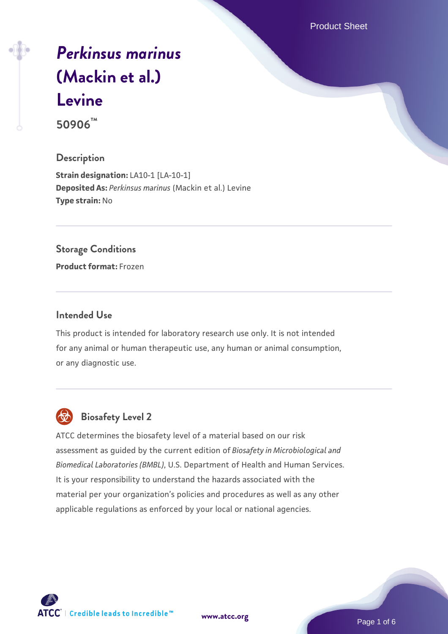Product Sheet

# *[Perkinsus marinus](https://www.atcc.org/products/50906)* **[\(Mackin et al.\)](https://www.atcc.org/products/50906) [Levine](https://www.atcc.org/products/50906)**

**50906™**

# **Description**

**Strain designation:** LA10-1 [LA-10-1] **Deposited As:** *Perkinsus marinus* (Mackin et al.) Levine **Type strain:** No

### **Storage Conditions**

**Product format:** Frozen

# **Intended Use**

This product is intended for laboratory research use only. It is not intended for any animal or human therapeutic use, any human or animal consumption, or any diagnostic use.



# **Biosafety Level 2**

ATCC determines the biosafety level of a material based on our risk assessment as guided by the current edition of *Biosafety in Microbiological and Biomedical Laboratories (BMBL)*, U.S. Department of Health and Human Services. It is your responsibility to understand the hazards associated with the material per your organization's policies and procedures as well as any other applicable regulations as enforced by your local or national agencies.

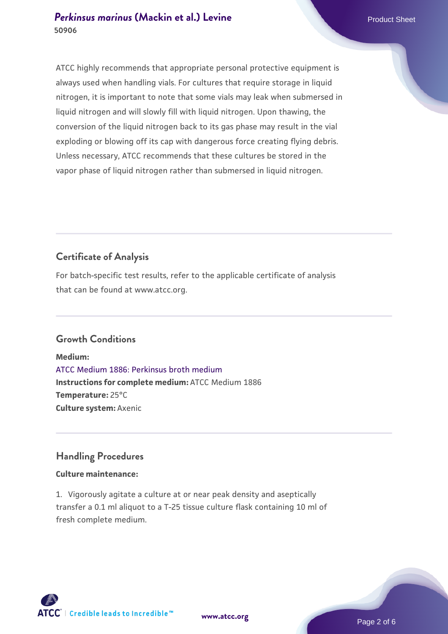# **[Perkinsus marinus](https://www.atcc.org/products/50906) [\(Mackin et al.\) Levine](https://www.atcc.org/products/50906)** Product Sheet **50906**

ATCC highly recommends that appropriate personal protective equipment is always used when handling vials. For cultures that require storage in liquid nitrogen, it is important to note that some vials may leak when submersed in liquid nitrogen and will slowly fill with liquid nitrogen. Upon thawing, the conversion of the liquid nitrogen back to its gas phase may result in the vial exploding or blowing off its cap with dangerous force creating flying debris. Unless necessary, ATCC recommends that these cultures be stored in the vapor phase of liquid nitrogen rather than submersed in liquid nitrogen.

# **Certificate of Analysis**

For batch-specific test results, refer to the applicable certificate of analysis that can be found at www.atcc.org.

# **Growth Conditions**

**Medium:**  [ATCC Medium 1886: Perkinsus broth medium](https://www.atcc.org/-/media/product-assets/documents/microbial-media-formulations/atcc-medium-1886.pdf?rev=3f191fd8ade443aca9e8e4826432baa3) **Instructions for complete medium:** ATCC Medium 1886 **Temperature:** 25°C **Culture system:** Axenic

# **Handling Procedures**

# **Culture maintenance:**

1. Vigorously agitate a culture at or near peak density and aseptically transfer a 0.1 ml aliquot to a T-25 tissue culture flask containing 10 ml of fresh complete medium.



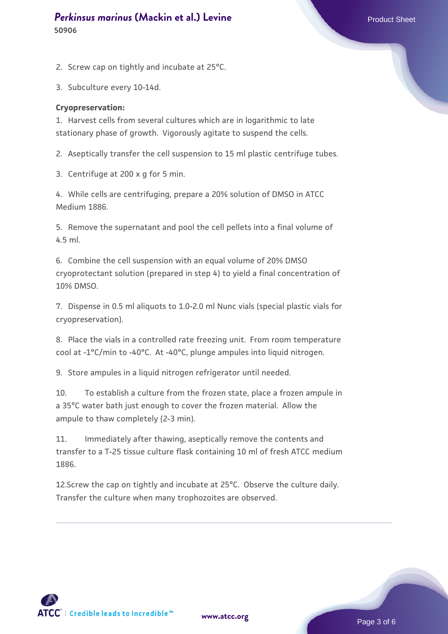# **[Perkinsus marinus](https://www.atcc.org/products/50906) [\(Mackin et al.\) Levine](https://www.atcc.org/products/50906)** Product Sheet **50906**

2. Screw cap on tightly and incubate at 25°C.

3. Subculture every 10-14d.

#### **Cryopreservation:**

1. Harvest cells from several cultures which are in logarithmic to late stationary phase of growth. Vigorously agitate to suspend the cells.

2. Aseptically transfer the cell suspension to 15 ml plastic centrifuge tubes.

3. Centrifuge at 200 x g for 5 min.

4. While cells are centrifuging, prepare a 20% solution of DMSO in ATCC Medium 1886.

5. Remove the supernatant and pool the cell pellets into a final volume of 4.5 ml.

6. Combine the cell suspension with an equal volume of 20% DMSO cryoprotectant solution (prepared in step 4) to yield a final concentration of 10% DMSO.

7. Dispense in 0.5 ml aliquots to 1.0-2.0 ml Nunc vials (special plastic vials for cryopreservation).

8. Place the vials in a controlled rate freezing unit. From room temperature cool at -1°C/min to -40°C. At -40°C, plunge ampules into liquid nitrogen.

9. Store ampules in a liquid nitrogen refrigerator until needed.

10. To establish a culture from the frozen state, place a frozen ampule in a 35°C water bath just enough to cover the frozen material. Allow the ampule to thaw completely (2-3 min).

11. Immediately after thawing, aseptically remove the contents and transfer to a T-25 tissue culture flask containing 10 ml of fresh ATCC medium 1886.

12.Screw the cap on tightly and incubate at 25°C. Observe the culture daily. Transfer the culture when many trophozoites are observed.

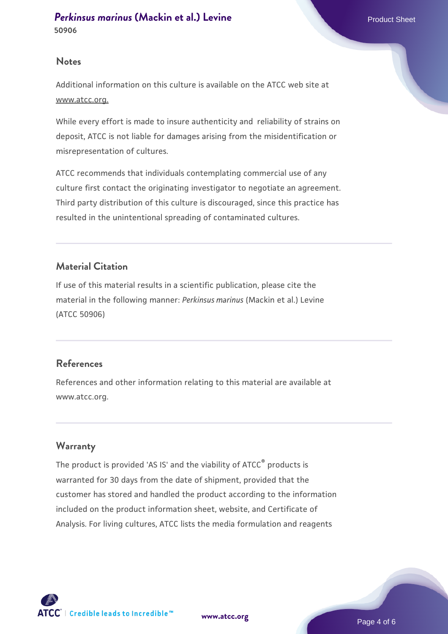#### **Notes**

Additional information on this culture is available on the ATCC web site at www.atcc.org.

While every effort is made to insure authenticity and reliability of strains on deposit, ATCC is not liable for damages arising from the misidentification or misrepresentation of cultures.

ATCC recommends that individuals contemplating commercial use of any culture first contact the originating investigator to negotiate an agreement. Third party distribution of this culture is discouraged, since this practice has resulted in the unintentional spreading of contaminated cultures.

# **Material Citation**

If use of this material results in a scientific publication, please cite the material in the following manner: *Perkinsus marinus* (Mackin et al.) Levine (ATCC 50906)

# **References**

References and other information relating to this material are available at www.atcc.org.

# **Warranty**

The product is provided 'AS IS' and the viability of ATCC® products is warranted for 30 days from the date of shipment, provided that the customer has stored and handled the product according to the information included on the product information sheet, website, and Certificate of Analysis. For living cultures, ATCC lists the media formulation and reagents

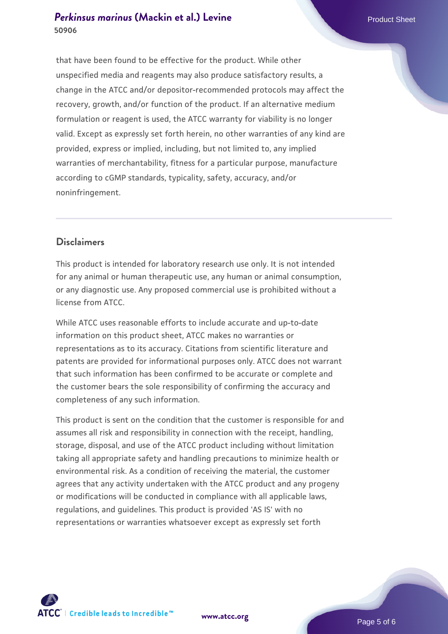# **[Perkinsus marinus](https://www.atcc.org/products/50906) [\(Mackin et al.\) Levine](https://www.atcc.org/products/50906)** Product Sheet **50906**

that have been found to be effective for the product. While other unspecified media and reagents may also produce satisfactory results, a change in the ATCC and/or depositor-recommended protocols may affect the recovery, growth, and/or function of the product. If an alternative medium formulation or reagent is used, the ATCC warranty for viability is no longer valid. Except as expressly set forth herein, no other warranties of any kind are provided, express or implied, including, but not limited to, any implied warranties of merchantability, fitness for a particular purpose, manufacture according to cGMP standards, typicality, safety, accuracy, and/or noninfringement.

# **Disclaimers**

This product is intended for laboratory research use only. It is not intended for any animal or human therapeutic use, any human or animal consumption, or any diagnostic use. Any proposed commercial use is prohibited without a license from ATCC.

While ATCC uses reasonable efforts to include accurate and up-to-date information on this product sheet, ATCC makes no warranties or representations as to its accuracy. Citations from scientific literature and patents are provided for informational purposes only. ATCC does not warrant that such information has been confirmed to be accurate or complete and the customer bears the sole responsibility of confirming the accuracy and completeness of any such information.

This product is sent on the condition that the customer is responsible for and assumes all risk and responsibility in connection with the receipt, handling, storage, disposal, and use of the ATCC product including without limitation taking all appropriate safety and handling precautions to minimize health or environmental risk. As a condition of receiving the material, the customer agrees that any activity undertaken with the ATCC product and any progeny or modifications will be conducted in compliance with all applicable laws, regulations, and guidelines. This product is provided 'AS IS' with no representations or warranties whatsoever except as expressly set forth



**[www.atcc.org](http://www.atcc.org)**

Page 5 of 6